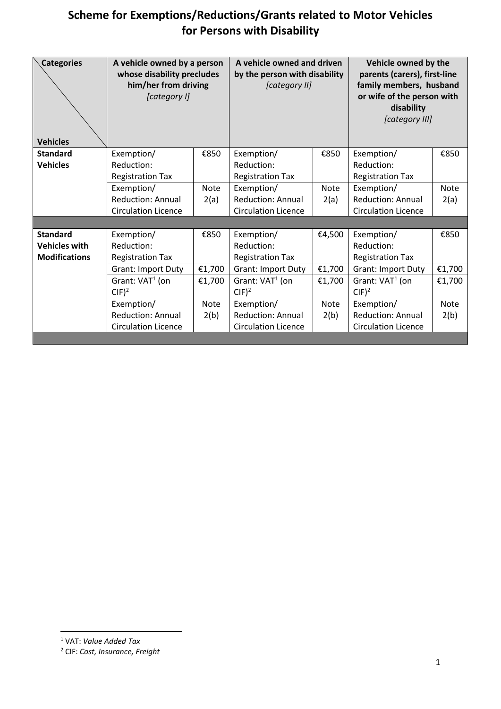<span id="page-0-1"></span><span id="page-0-0"></span>

| <b>Categories</b><br><b>Vehicles</b> | A vehicle owned by a person<br>whose disability precludes<br>him/her from driving<br>[category I] |        | A vehicle owned and driven<br>by the person with disability<br>[category II] |             | Vehicle owned by the<br>parents (carers), first-line<br>family members, husband<br>or wife of the person with<br>disability<br>[category III] |             |
|--------------------------------------|---------------------------------------------------------------------------------------------------|--------|------------------------------------------------------------------------------|-------------|-----------------------------------------------------------------------------------------------------------------------------------------------|-------------|
| <b>Standard</b>                      | Exemption/                                                                                        | €850   | Exemption/                                                                   | €850        | Exemption/                                                                                                                                    | €850        |
| <b>Vehicles</b>                      | Reduction:                                                                                        |        | Reduction:                                                                   |             | Reduction:                                                                                                                                    |             |
|                                      | <b>Registration Tax</b>                                                                           |        | <b>Registration Tax</b>                                                      |             | <b>Registration Tax</b>                                                                                                                       |             |
|                                      | Exemption/                                                                                        | Note   | Exemption/                                                                   | <b>Note</b> | Exemption/                                                                                                                                    | <b>Note</b> |
|                                      | Reduction: Annual                                                                                 | 2(a)   | <b>Reduction: Annual</b>                                                     | 2(a)        | Reduction: Annual                                                                                                                             | 2(a)        |
|                                      | <b>Circulation Licence</b>                                                                        |        | <b>Circulation Licence</b>                                                   |             | <b>Circulation Licence</b>                                                                                                                    |             |
|                                      |                                                                                                   |        |                                                                              |             |                                                                                                                                               |             |
| <b>Standard</b>                      | Exemption/                                                                                        | €850   | Exemption/                                                                   | €4,500      | Exemption/                                                                                                                                    | €850        |
| <b>Vehicles with</b>                 | Reduction:                                                                                        |        | Reduction:                                                                   |             | Reduction:                                                                                                                                    |             |
| <b>Modifications</b>                 | <b>Registration Tax</b>                                                                           |        | <b>Registration Tax</b>                                                      |             | <b>Registration Tax</b>                                                                                                                       |             |
|                                      | <b>Grant: Import Duty</b>                                                                         | €1,700 | <b>Grant: Import Duty</b>                                                    | €1,700      | <b>Grant: Import Duty</b>                                                                                                                     | €1,700      |
|                                      | Grant: VAT <sup>1</sup> (on                                                                       | €1,700 | Grant: VAT <sup>1</sup> (on                                                  | €1,700      | Grant: $VAT1$ (on                                                                                                                             | €1,700      |
|                                      | $CIF)^2$                                                                                          |        | $CIF)^2$                                                                     |             | $CIF)^2$                                                                                                                                      |             |
|                                      | Exemption/                                                                                        | Note   | Exemption/                                                                   | Note        | Exemption/                                                                                                                                    | Note        |
|                                      | <b>Reduction: Annual</b>                                                                          | 2(b)   | <b>Reduction: Annual</b>                                                     | 2(b)        | <b>Reduction: Annual</b>                                                                                                                      | 2(b)        |
|                                      | <b>Circulation Licence</b>                                                                        |        | <b>Circulation Licence</b>                                                   |             | <b>Circulation Licence</b>                                                                                                                    |             |

<sup>1</sup> VAT: *Value Added Tax*

<sup>2</sup> CIF: *Cost, Insurance, Freight*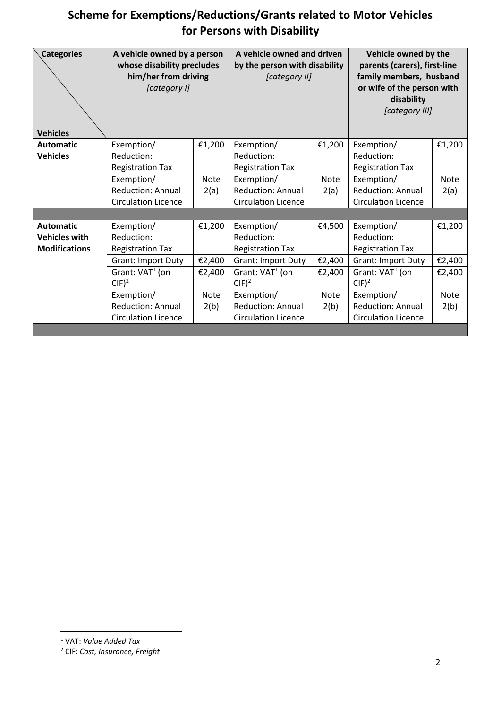| <b>Categories</b><br><b>Vehicles</b> | A vehicle owned by a person<br>whose disability precludes<br>him/her from driving<br>[category I] |        | A vehicle owned and driven<br>by the person with disability<br>[category II] |             | Vehicle owned by the<br>parents (carers), first-line<br>family members, husband<br>or wife of the person with<br>disability<br>[category III] |             |
|--------------------------------------|---------------------------------------------------------------------------------------------------|--------|------------------------------------------------------------------------------|-------------|-----------------------------------------------------------------------------------------------------------------------------------------------|-------------|
| <b>Automatic</b>                     | Exemption/                                                                                        | €1,200 | Exemption/                                                                   | €1,200      | Exemption/                                                                                                                                    | €1,200      |
| <b>Vehicles</b>                      | Reduction:                                                                                        |        | Reduction:                                                                   |             | Reduction:                                                                                                                                    |             |
|                                      | <b>Registration Tax</b>                                                                           |        | <b>Registration Tax</b>                                                      |             | <b>Registration Tax</b>                                                                                                                       |             |
|                                      | Exemption/                                                                                        | Note   | Exemption/                                                                   | <b>Note</b> | Exemption/                                                                                                                                    | Note        |
|                                      | <b>Reduction: Annual</b>                                                                          | 2(a)   | <b>Reduction: Annual</b>                                                     | 2(a)        | <b>Reduction: Annual</b>                                                                                                                      | 2(a)        |
|                                      | <b>Circulation Licence</b>                                                                        |        | <b>Circulation Licence</b>                                                   |             | <b>Circulation Licence</b>                                                                                                                    |             |
|                                      |                                                                                                   |        |                                                                              |             |                                                                                                                                               |             |
| <b>Automatic</b>                     | Exemption/                                                                                        | €1,200 | Exemption/                                                                   | €4,500      | Exemption/                                                                                                                                    | €1,200      |
| <b>Vehicles with</b>                 | Reduction:                                                                                        |        | Reduction:                                                                   |             | Reduction:                                                                                                                                    |             |
| <b>Modifications</b>                 | <b>Registration Tax</b>                                                                           |        | <b>Registration Tax</b>                                                      |             | <b>Registration Tax</b>                                                                                                                       |             |
|                                      | <b>Grant: Import Duty</b>                                                                         | €2,400 | <b>Grant: Import Duty</b>                                                    | €2,400      | <b>Grant: Import Duty</b>                                                                                                                     | €2,400      |
|                                      | Grant: VAT <sup>1</sup> (on                                                                       | €2,400 | Grant: VAT <sup>1</sup> (on                                                  | €2,400      | Grant: $VAT1$ (on                                                                                                                             | €2,400      |
|                                      | $CIF)^2$                                                                                          |        | $CIF)^2$                                                                     |             | $CIF)^2$                                                                                                                                      |             |
|                                      | Exemption/                                                                                        | Note   | Exemption/                                                                   | <b>Note</b> | Exemption/                                                                                                                                    | <b>Note</b> |
|                                      | <b>Reduction: Annual</b>                                                                          | 2(b)   | <b>Reduction: Annual</b>                                                     | 2(b)        | <b>Reduction: Annual</b>                                                                                                                      | 2(b)        |
|                                      | <b>Circulation Licence</b>                                                                        |        | <b>Circulation Licence</b>                                                   |             | <b>Circulation Licence</b>                                                                                                                    |             |

<sup>1</sup> VAT: *Value Added Tax*

<sup>2</sup> CIF: *Cost, Insurance, Freight*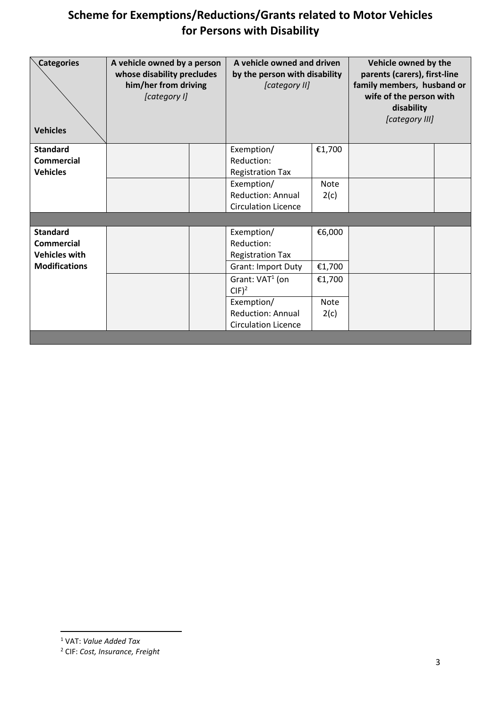| <b>Categories</b><br><b>Vehicles</b> | A vehicle owned by a person<br>whose disability precludes<br>him/her from driving<br>[category I] | A vehicle owned and driven<br>by the person with disability<br>[category II] |             | Vehicle owned by the<br>parents (carers), first-line<br>family members, husband or<br>wife of the person with<br>disability<br>[category III] |  |
|--------------------------------------|---------------------------------------------------------------------------------------------------|------------------------------------------------------------------------------|-------------|-----------------------------------------------------------------------------------------------------------------------------------------------|--|
| <b>Standard</b>                      |                                                                                                   | Exemption/                                                                   | €1,700      |                                                                                                                                               |  |
| <b>Commercial</b>                    |                                                                                                   | Reduction:                                                                   |             |                                                                                                                                               |  |
| <b>Vehicles</b>                      |                                                                                                   | <b>Registration Tax</b>                                                      |             |                                                                                                                                               |  |
|                                      |                                                                                                   | Exemption/                                                                   | <b>Note</b> |                                                                                                                                               |  |
|                                      |                                                                                                   | <b>Reduction: Annual</b>                                                     | 2(c)        |                                                                                                                                               |  |
|                                      |                                                                                                   | <b>Circulation Licence</b>                                                   |             |                                                                                                                                               |  |
|                                      |                                                                                                   |                                                                              |             |                                                                                                                                               |  |
| <b>Standard</b>                      |                                                                                                   | Exemption/                                                                   | €6,000      |                                                                                                                                               |  |
| <b>Commercial</b>                    |                                                                                                   | Reduction:                                                                   |             |                                                                                                                                               |  |
| <b>Vehicles with</b>                 |                                                                                                   | <b>Registration Tax</b>                                                      |             |                                                                                                                                               |  |
| <b>Modifications</b>                 |                                                                                                   | Grant: Import Duty                                                           | €1,700      |                                                                                                                                               |  |
|                                      |                                                                                                   | Grant: VAT <sup>1</sup> (on                                                  | €1,700      |                                                                                                                                               |  |
|                                      |                                                                                                   | $CIF)^2$                                                                     |             |                                                                                                                                               |  |
|                                      |                                                                                                   | Exemption/                                                                   | <b>Note</b> |                                                                                                                                               |  |
|                                      |                                                                                                   | <b>Reduction: Annual</b>                                                     | 2(c)        |                                                                                                                                               |  |
|                                      |                                                                                                   | <b>Circulation Licence</b>                                                   |             |                                                                                                                                               |  |
|                                      |                                                                                                   |                                                                              |             |                                                                                                                                               |  |

<sup>1</sup> VAT: *Value Added Tax*

<sup>2</sup> CIF: *Cost, Insurance, Freight*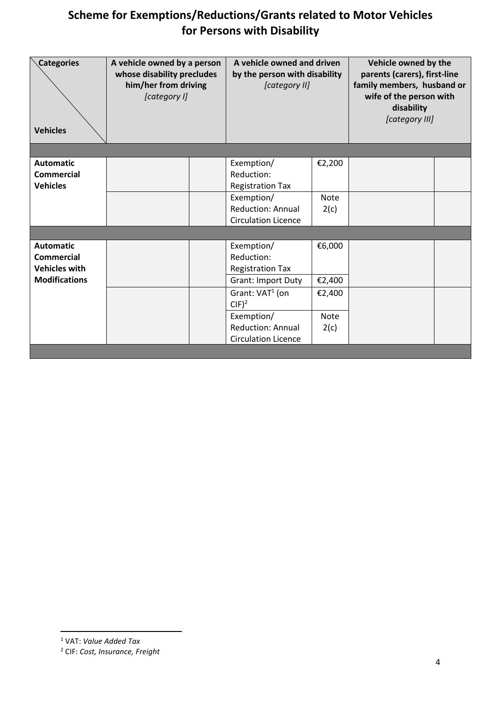| <b>Categories</b><br><b>Vehicles</b>                                                  | A vehicle owned by a person<br>whose disability precludes<br>him/her from driving<br>[category I] | A vehicle owned and driven<br>by the person with disability<br>[category II] |                       | Vehicle owned by the<br>parents (carers), first-line<br>family members, husband or<br>wife of the person with<br>disability<br>[category III] |  |
|---------------------------------------------------------------------------------------|---------------------------------------------------------------------------------------------------|------------------------------------------------------------------------------|-----------------------|-----------------------------------------------------------------------------------------------------------------------------------------------|--|
|                                                                                       |                                                                                                   |                                                                              |                       |                                                                                                                                               |  |
| <b>Automatic</b><br><b>Commercial</b><br><b>Vehicles</b>                              |                                                                                                   | Exemption/<br>Reduction:<br><b>Registration Tax</b>                          | €2,200                |                                                                                                                                               |  |
|                                                                                       |                                                                                                   | Exemption/<br><b>Reduction: Annual</b><br><b>Circulation Licence</b>         | <b>Note</b><br>2(c)   |                                                                                                                                               |  |
|                                                                                       |                                                                                                   |                                                                              |                       |                                                                                                                                               |  |
| <b>Automatic</b><br><b>Commercial</b><br><b>Vehicles with</b><br><b>Modifications</b> |                                                                                                   | Exemption/<br>Reduction:<br><b>Registration Tax</b><br>Grant: Import Duty    | €6,000<br>€2,400      |                                                                                                                                               |  |
|                                                                                       |                                                                                                   | Grant: VAT <sup>1</sup> (on<br>$CIF)^2$<br>Exemption/                        | €2,400<br><b>Note</b> |                                                                                                                                               |  |
|                                                                                       |                                                                                                   | <b>Reduction: Annual</b><br><b>Circulation Licence</b>                       | 2(c)                  |                                                                                                                                               |  |

<sup>1</sup> VAT: *Value Added Tax*

<sup>2</sup> CIF: *Cost, Insurance, Freight*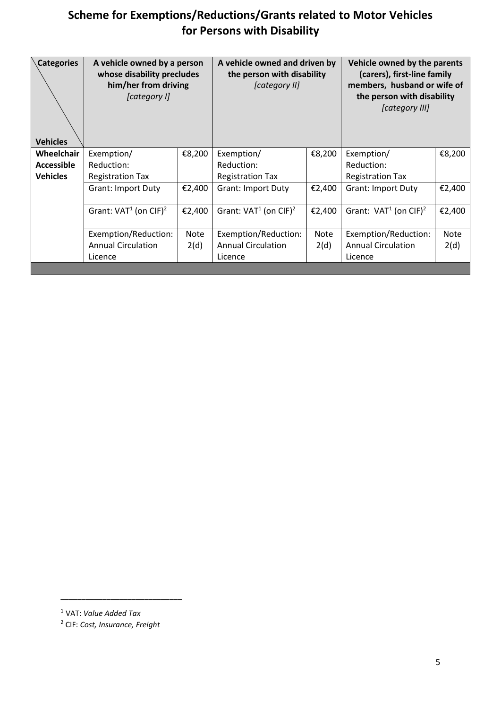| <b>Categories</b><br><b>Vehicles</b> | A vehicle owned by a person<br>whose disability precludes<br>him/her from driving<br>[category I] |        | A vehicle owned and driven by<br>the person with disability<br>[category II] |        | Vehicle owned by the parents<br>(carers), first-line family<br>members, husband or wife of<br>the person with disability<br>[category III] |             |
|--------------------------------------|---------------------------------------------------------------------------------------------------|--------|------------------------------------------------------------------------------|--------|--------------------------------------------------------------------------------------------------------------------------------------------|-------------|
| Wheelchair                           | Exemption/                                                                                        | €8,200 | Exemption/                                                                   | €8,200 | Exemption/                                                                                                                                 | €8,200      |
| <b>Accessible</b>                    | Reduction:                                                                                        |        | Reduction:                                                                   |        | Reduction:                                                                                                                                 |             |
| <b>Vehicles</b>                      | <b>Registration Tax</b>                                                                           |        | <b>Registration Tax</b>                                                      |        | <b>Registration Tax</b>                                                                                                                    |             |
|                                      | <b>Grant: Import Duty</b>                                                                         | €2,400 | <b>Grant: Import Duty</b>                                                    | €2,400 | <b>Grant: Import Duty</b>                                                                                                                  | €2,400      |
|                                      | Grant: $VAT1$ (on CIF) <sup>2</sup>                                                               | €2,400 | Grant: $VAT1$ (on CIF) <sup>2</sup>                                          | €2,400 | Grant: $VAT1$ (on CIF) <sup>2</sup>                                                                                                        | €2,400      |
|                                      | Exemption/Reduction:                                                                              | Note   | Exemption/Reduction:                                                         | Note   | Exemption/Reduction:                                                                                                                       | <b>Note</b> |
|                                      | <b>Annual Circulation</b>                                                                         | 2(d)   | <b>Annual Circulation</b>                                                    | 2(d)   | <b>Annual Circulation</b>                                                                                                                  | 2(d)        |
|                                      | Licence                                                                                           |        | Licence                                                                      |        | Licence                                                                                                                                    |             |
|                                      |                                                                                                   |        |                                                                              |        |                                                                                                                                            |             |

\_\_\_\_\_\_\_\_\_\_\_\_\_\_\_\_\_\_\_\_\_\_\_\_\_\_\_\_\_

<sup>1</sup> VAT: *Value Added Tax*

<sup>2</sup> CIF: *Cost, Insurance, Freight*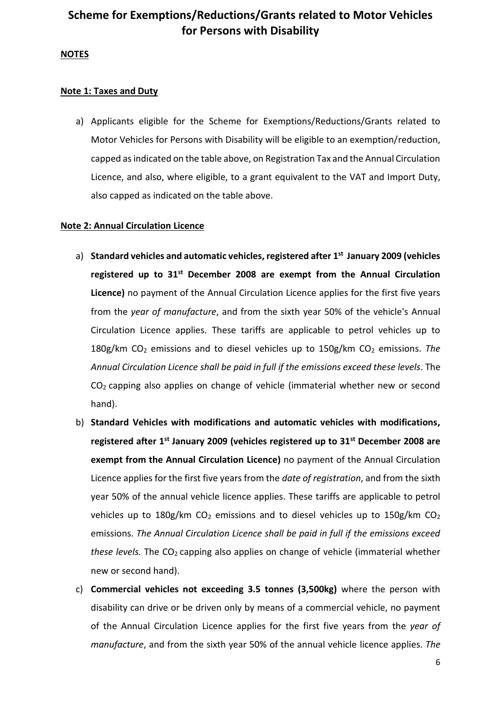#### **NOTES**

#### **Note 1: Taxes and Duty**

a) Applicants eligible for the Scheme for Exemptions/Reductions/Grants related to Motor Vehicles for Persons with Disability will be eligible to an exemption/reduction, capped as indicated on the table above, on Registration Tax and the Annual Circulation Licence, and also, where eligible, to a grant equivalent to the VAT and Import Duty, also capped as indicated on the table above.

#### **Note 2: Annual Circulation Licence**

- a) **Standard vehicles and automatic vehicles, registered after 1 st January 2009 (vehicles registered up to 31st December 2008 are exempt from the Annual Circulation Licence)** no payment of the Annual Circulation Licence applies for the first five years from the *year of manufacture*, and from the sixth year 50% of the vehicle's Annual Circulation Licence applies. These tariffs are applicable to petrol vehicles up to 180g/km CO<sup>2</sup> emissions and to diesel vehicles up to 150g/km CO<sup>2</sup> emissions. *The Annual Circulation Licence shall be paid in full if the emissions exceed these levels*. The CO2 capping also applies on change of vehicle (immaterial whether new or second hand).
- b) **Standard Vehicles with modifications and automatic vehicles with modifications, registered after 1st January 2009 (vehicles registered up to 31st December 2008 are exempt from the Annual Circulation Licence)** no payment of the Annual Circulation Licence applies for the first five years from the *date of registration*, and from the sixth year 50% of the annual vehicle licence applies. These tariffs are applicable to petrol vehicles up to 180g/km  $CO<sub>2</sub>$  emissions and to diesel vehicles up to 150g/km  $CO<sub>2</sub>$ emissions. *The Annual Circulation Licence shall be paid in full if the emissions exceed these levels.* The CO<sub>2</sub> capping also applies on change of vehicle (immaterial whether new or second hand).
- c) **Commercial vehicles not exceeding 3.5 tonnes (3,500kg)** where the person with disability can drive or be driven only by means of a commercial vehicle, no payment of the Annual Circulation Licence applies for the first five years from the *year of manufacture*, and from the sixth year 50% of the annual vehicle licence applies. *The*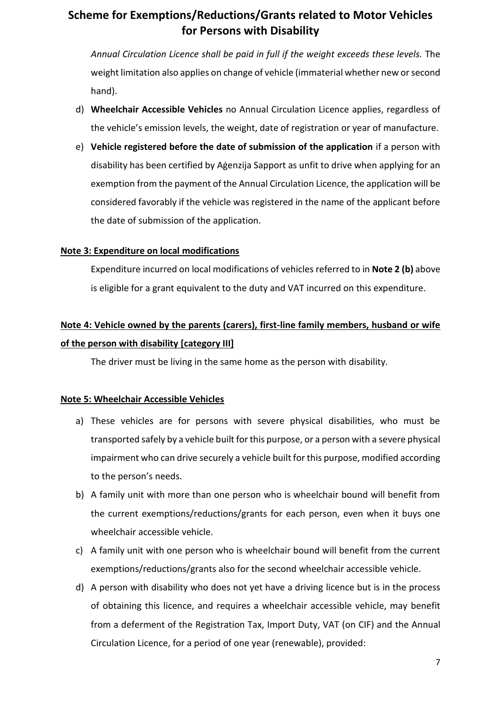*Annual Circulation Licence shall be paid in full if the weight exceeds these levels.* The weight limitation also applies on change of vehicle (immaterial whether new or second hand).

- d) **Wheelchair Accessible Vehicles** no Annual Circulation Licence applies, regardless of the vehicle's emission levels, the weight, date of registration or year of manufacture.
- e) **Vehicle registered before the date of submission of the application** if a person with disability has been certified by Aġenzija Sapport as unfit to drive when applying for an exemption from the payment of the Annual Circulation Licence, the application will be considered favorably if the vehicle was registered in the name of the applicant before the date of submission of the application.

#### **Note 3: Expenditure on local modifications**

Expenditure incurred on local modifications of vehicles referred to in **Note 2 (b)** above is eligible for a grant equivalent to the duty and VAT incurred on this expenditure.

### **Note 4: Vehicle owned by the parents (carers), first-line family members, husband or wife of the person with disability [category III]**

The driver must be living in the same home as the person with disability.

#### **Note 5: Wheelchair Accessible Vehicles**

- a) These vehicles are for persons with severe physical disabilities, who must be transported safely by a vehicle built for this purpose, or a person with a severe physical impairment who can drive securely a vehicle built for this purpose, modified according to the person's needs.
- b) A family unit with more than one person who is wheelchair bound will benefit from the current exemptions/reductions/grants for each person, even when it buys one wheelchair accessible vehicle.
- c) A family unit with one person who is wheelchair bound will benefit from the current exemptions/reductions/grants also for the second wheelchair accessible vehicle.
- d) A person with disability who does not yet have a driving licence but is in the process of obtaining this licence, and requires a wheelchair accessible vehicle, may benefit from a deferment of the Registration Tax, Import Duty, VAT (on CIF) and the Annual Circulation Licence, for a period of one year (renewable), provided: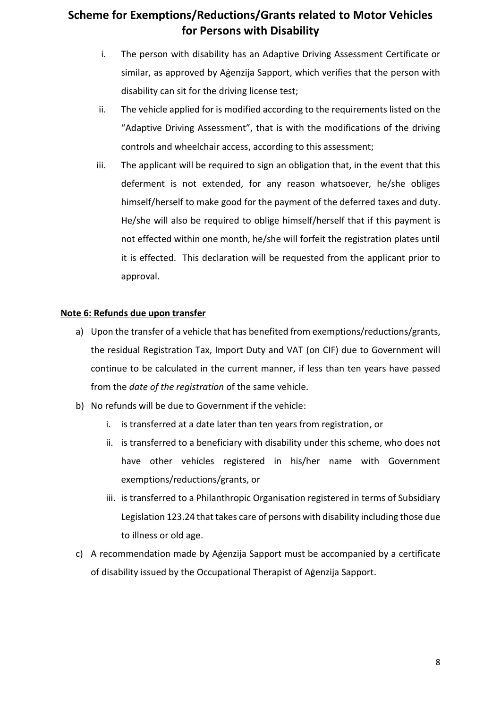- i. The person with disability has an Adaptive Driving Assessment Certificate or similar, as approved by Aġenzija Sapport, which verifies that the person with disability can sit for the driving license test;
- ii. The vehicle applied for is modified according to the requirements listed on the "Adaptive Driving Assessment", that is with the modifications of the driving controls and wheelchair access, according to this assessment;
- iii. The applicant will be required to sign an obligation that, in the event that this deferment is not extended, for any reason whatsoever, he/she obliges himself/herself to make good for the payment of the deferred taxes and duty. He/she will also be required to oblige himself/herself that if this payment is not effected within one month, he/she will forfeit the registration plates until it is effected. This declaration will be requested from the applicant prior to approval.

#### **Note 6: Refunds due upon transfer**

- a) Upon the transfer of a vehicle that has benefited from exemptions/reductions/grants, the residual Registration Tax, Import Duty and VAT (on CIF) due to Government will continue to be calculated in the current manner, if less than ten years have passed from the *date of the registration* of the same vehicle.
- b) No refunds will be due to Government if the vehicle:
	- i. is transferred at a date later than ten years from registration, or
	- ii. is transferred to a beneficiary with disability under this scheme, who does not have other vehicles registered in his/her name with Government exemptions/reductions/grants, or
	- iii. is transferred to a Philanthropic Organisation registered in terms of Subsidiary Legislation 123.24 that takes care of persons with disability including those due to illness or old age.
- c) A recommendation made by Aġenzija Sapport must be accompanied by a certificate of disability issued by the Occupational Therapist of Aġenzija Sapport.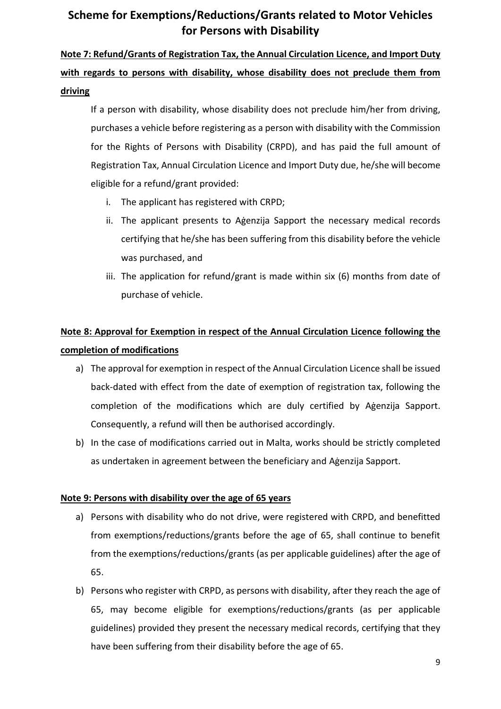# **Note 7: Refund/Grants of Registration Tax, the Annual Circulation Licence, and Import Duty with regards to persons with disability, whose disability does not preclude them from driving**

If a person with disability, whose disability does not preclude him/her from driving, purchases a vehicle before registering as a person with disability with the Commission for the Rights of Persons with Disability (CRPD), and has paid the full amount of Registration Tax, Annual Circulation Licence and Import Duty due, he/she will become eligible for a refund/grant provided:

- i. The applicant has registered with CRPD;
- ii. The applicant presents to Aġenzija Sapport the necessary medical records certifying that he/she has been suffering from this disability before the vehicle was purchased, and
- iii. The application for refund/grant is made within six (6) months from date of purchase of vehicle.

## **Note 8: Approval for Exemption in respect of the Annual Circulation Licence following the completion of modifications**

- a) The approval for exemption in respect of the Annual Circulation Licence shall be issued back-dated with effect from the date of exemption of registration tax, following the completion of the modifications which are duly certified by Aġenzija Sapport. Consequently, a refund will then be authorised accordingly.
- b) In the case of modifications carried out in Malta, works should be strictly completed as undertaken in agreement between the beneficiary and Aġenzija Sapport.

### **Note 9: Persons with disability over the age of 65 years**

- a) Persons with disability who do not drive, were registered with CRPD, and benefitted from exemptions/reductions/grants before the age of 65, shall continue to benefit from the exemptions/reductions/grants (as per applicable guidelines) after the age of 65.
- b) Persons who register with CRPD, as persons with disability, after they reach the age of 65, may become eligible for exemptions/reductions/grants (as per applicable guidelines) provided they present the necessary medical records, certifying that they have been suffering from their disability before the age of 65.